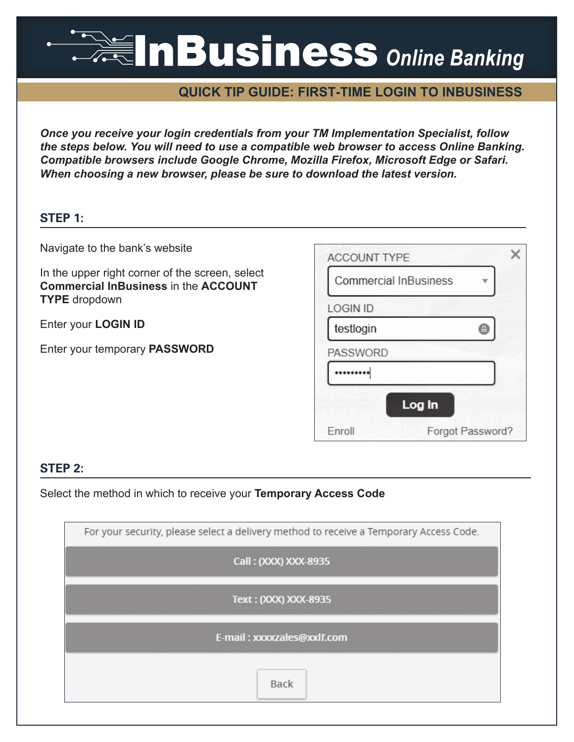# **ANGLISINESS** Online Banking

## **QUICK TIP GUIDE: FIRST-TIME LOGIN TO INBUSINESS**

*Once you receive your login credentials from your TM Implementation Specialist, follow the steps below. You will need to use a compatible web browser to access Online Banking. Compatible browsers include Google Chrome, Mozilla Firefox, Microsoft Edge or Safari. When choosing a new browser, please be sure to download the latest version.*

## **STEP 1:**

Navigate to the bank's website

In the upper right corner of the screen, select **Commercial InBusiness** in the **ACCOUNT TYPE** dropdown

Enter your **LOGIN ID**

Enter your temporary **PASSWORD**

| <b>ACCOUNT TYPE</b>          |                  |
|------------------------------|------------------|
| <b>Commercial InBusiness</b> |                  |
| <b>LOGIN ID</b>              |                  |
| testlogin                    |                  |
| <b>PASSWORD</b>              |                  |
|                              |                  |
| Log In                       |                  |
| Enroll                       | Forgot Password? |

## **STEP 2:**

Select the method in which to receive your **Temporary Access Code**

| For your security, please select a delivery method to receive a Temporary Access Code. |  |  |  |  |
|----------------------------------------------------------------------------------------|--|--|--|--|
| Call: (XXX) XXX-8935                                                                   |  |  |  |  |
| Text: (XXX) XXX-8935                                                                   |  |  |  |  |
| E-mail: xxxxzales@xxlf.com                                                             |  |  |  |  |
| Back                                                                                   |  |  |  |  |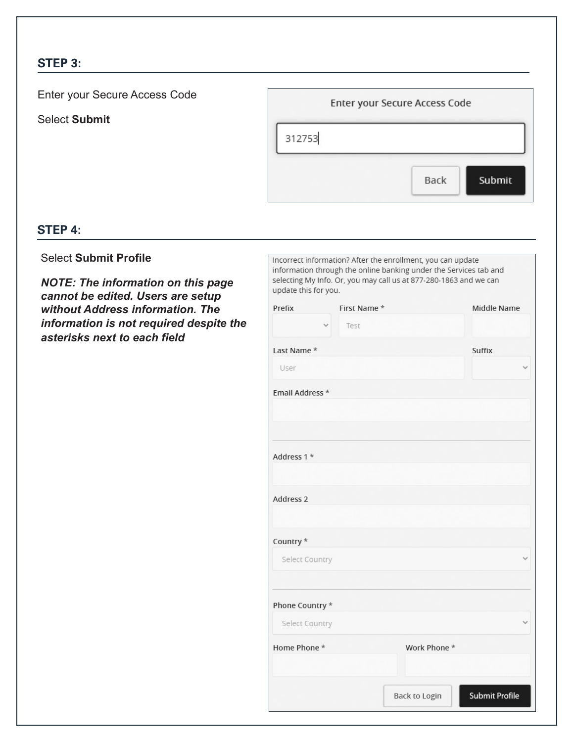## **STEP 3:**

Enter your Secure Access Code Enter your Secure Access Code Select **Submit** 312753 Submit **Back** 

## **STEP 4:**

## Select **Submit Profile**

*NOTE: The information on this page cannot be edited. Users are setup without Address information. The information is not required despite the asterisks next to each field*

| Incorrect information? After the enrollment, you can update<br>information through the online banking under the Services tab and<br>selecting My Info. Or, you may call us at 877-280-1863 and we can |  |  |  |
|-------------------------------------------------------------------------------------------------------------------------------------------------------------------------------------------------------|--|--|--|
|                                                                                                                                                                                                       |  |  |  |
| update this for you.                                                                                                                                                                                  |  |  |  |
| First Name *<br>Middle Name<br>Prefix                                                                                                                                                                 |  |  |  |
| Test                                                                                                                                                                                                  |  |  |  |
| Last Name *<br>Suffix                                                                                                                                                                                 |  |  |  |
| User                                                                                                                                                                                                  |  |  |  |
| Email Address *                                                                                                                                                                                       |  |  |  |
|                                                                                                                                                                                                       |  |  |  |
|                                                                                                                                                                                                       |  |  |  |
|                                                                                                                                                                                                       |  |  |  |
| Address 1 *                                                                                                                                                                                           |  |  |  |
|                                                                                                                                                                                                       |  |  |  |
| Address 2                                                                                                                                                                                             |  |  |  |
|                                                                                                                                                                                                       |  |  |  |
| Country *                                                                                                                                                                                             |  |  |  |
|                                                                                                                                                                                                       |  |  |  |
| Select Country                                                                                                                                                                                        |  |  |  |
|                                                                                                                                                                                                       |  |  |  |
| Phone Country *                                                                                                                                                                                       |  |  |  |
| Select Country                                                                                                                                                                                        |  |  |  |
| Home Phone *<br>Work Phone *                                                                                                                                                                          |  |  |  |
|                                                                                                                                                                                                       |  |  |  |
|                                                                                                                                                                                                       |  |  |  |
| <b>Submit Profile</b><br><b>Back to Login</b>                                                                                                                                                         |  |  |  |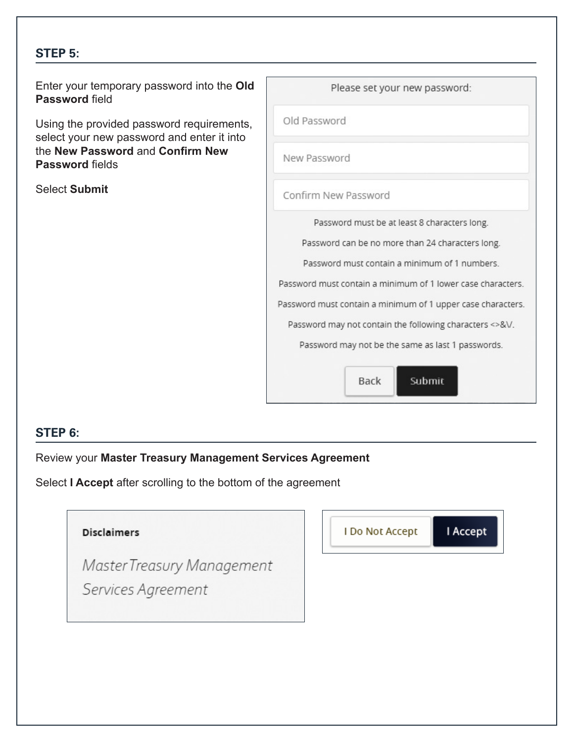## **STEP 5:**

Enter your temporary password into **Password** field

Using the provided password requi select your new password and enter the **New Password** and **Confirm New Your Password** fields

Select **Submit**

| to the <b>Old</b>       | Please set your new password:                               |  |  |  |  |
|-------------------------|-------------------------------------------------------------|--|--|--|--|
| irements,<br>er it into | Old Password                                                |  |  |  |  |
| <b>New</b>              | New Password                                                |  |  |  |  |
|                         | Confirm New Password                                        |  |  |  |  |
|                         | Password must be at least 8 characters long.                |  |  |  |  |
|                         | Password can be no more than 24 characters long.            |  |  |  |  |
|                         | Password must contain a minimum of 1 numbers                |  |  |  |  |
|                         | Password must contain a minimum of 1 lower case characters. |  |  |  |  |
|                         | Password must contain a minimum of 1 upper case characters. |  |  |  |  |
|                         | Password may not contain the following characters <> & \/.  |  |  |  |  |
|                         | Password may not be the same as last 1 passwords.           |  |  |  |  |
|                         |                                                             |  |  |  |  |
|                         | <b>Back</b><br>Submit                                       |  |  |  |  |

## **STEP 6:**

Review your **Master Treasury Management Services Agreement**

Select **I Accept** after scrolling to the bottom of the agreement

| <b>Disclaimers</b>         |  | I Do Not Accept | I Accept |  |
|----------------------------|--|-----------------|----------|--|
| Master Treasury Management |  |                 |          |  |
| Services Agreement         |  |                 |          |  |
|                            |  |                 |          |  |
|                            |  |                 |          |  |
|                            |  |                 |          |  |